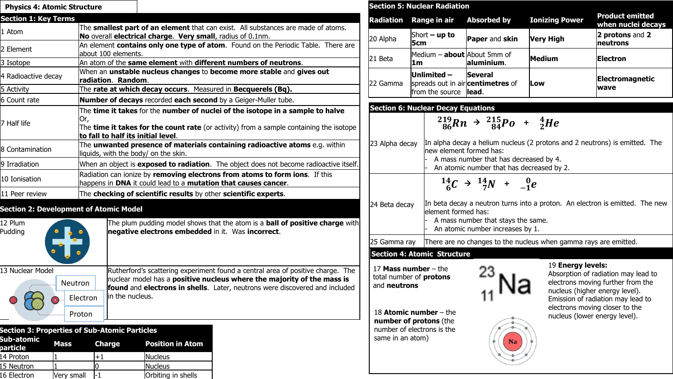| <b>Physics 4: Atomic Structure</b>                   |                                                                                                                     |                                                                                                                                                                                                                                                 | <b>Section 5: Nuclear</b>                                  |                                                         |  |  |
|------------------------------------------------------|---------------------------------------------------------------------------------------------------------------------|-------------------------------------------------------------------------------------------------------------------------------------------------------------------------------------------------------------------------------------------------|------------------------------------------------------------|---------------------------------------------------------|--|--|
| <b>Section 1: Key Terms</b>                          |                                                                                                                     |                                                                                                                                                                                                                                                 | <b>Radiation</b>                                           | Range                                                   |  |  |
| 1 Atom                                               |                                                                                                                     | The smallest part of an element that can exist. All substances are made of atoms.<br>No overall electrical charge. Very small, radius of 0.1nm.                                                                                                 |                                                            |                                                         |  |  |
| 2 Element                                            | An element contains only one type of atom. Found on the Periodic Table. There are<br>about 100 elements.            |                                                                                                                                                                                                                                                 |                                                            | 5cm<br>Medium                                           |  |  |
| 3 Isotope                                            |                                                                                                                     | An atom of the same element with different numbers of neutrons.                                                                                                                                                                                 |                                                            |                                                         |  |  |
| 4 Radioactive decay                                  |                                                                                                                     | When an unstable nucleus changes to become more stable and gives out<br>radiation. Random.                                                                                                                                                      |                                                            |                                                         |  |  |
| 5 Activity                                           |                                                                                                                     | The rate at which decay occurs. Measured in Becquerels (Bq).                                                                                                                                                                                    |                                                            |                                                         |  |  |
| 6 Count rate                                         |                                                                                                                     | Number of decays recorded each second by a Geiger-Muller tube.                                                                                                                                                                                  |                                                            | from th                                                 |  |  |
| 7 Half life                                          | Юr,<br>to fall to half its initial level.                                                                           | The time it takes for the number of nuclei of the isotope in a sample to halve<br>The time it takes for the count rate (or activity) from a sample containing the isotope                                                                       | <b>Section 6: Nuclear</b>                                  | ة In                                                    |  |  |
| 8 Contamination                                      | The unwanted presence of materials containing radioactive atoms e.g. within<br>liquids, with the body/ on the skin. | 23 Alpha decay<br>nev                                                                                                                                                                                                                           |                                                            |                                                         |  |  |
| 9 Irradiation                                        |                                                                                                                     | When an object is <b>exposed to radiation</b> . The object does not become radioactive itself.                                                                                                                                                  |                                                            |                                                         |  |  |
| 10 Ionisation                                        |                                                                                                                     | Radiation can ionize by removing electrons from atoms to form ions. If this<br>happens in DNA it could lead to a mutation that causes cancer.                                                                                                   |                                                            |                                                         |  |  |
| 11 Peer review                                       |                                                                                                                     | The checking of scientific results by other scientific experts.                                                                                                                                                                                 |                                                            |                                                         |  |  |
| <b>Section 2: Development of Atomic Model</b>        |                                                                                                                     |                                                                                                                                                                                                                                                 | 24 Beta decay                                              | In l<br>lele                                            |  |  |
| 12 Plum<br>Pudding                                   |                                                                                                                     | The plum pudding model shows that the atom is a <b>ball of positive charge</b> with<br>negative electrons embedded in it. Was incorrect.                                                                                                        |                                                            |                                                         |  |  |
|                                                      |                                                                                                                     |                                                                                                                                                                                                                                                 |                                                            | 25 Gamma ray<br> The                                    |  |  |
|                                                      |                                                                                                                     |                                                                                                                                                                                                                                                 | <b>Section 4: Atomic</b>                                   |                                                         |  |  |
| 13 Nuclear Model                                     | <b>Neutron</b><br>in the nucleus.<br>Electron                                                                       | Rutherford's scattering experiment found a central area of positive charge. The<br>nuclear model has a <b>positive nucleus where the majority of the mass is</b><br>found and electrons in shells. Later, neutrons were discovered and included |                                                            | 17 Mass number -<br>total number of pro<br>and neutrons |  |  |
| <b>Section 3: Properties of Sub-Atomic Particles</b> | Proton                                                                                                              |                                                                                                                                                                                                                                                 | 18 Atomic numbe<br>number of proton<br>number of electrons |                                                         |  |  |

| Sub-atomic<br>particle | Mass       | Charge | <b>Position in Atom</b> |  |  |  |
|------------------------|------------|--------|-------------------------|--|--|--|
| 14 Proton              |            | +1     | Nucleus                 |  |  |  |
| 15 Neutron             |            |        | Nucleus                 |  |  |  |
| 16 Electron            | Very small | ч.     | Orbiting in shells      |  |  |  |

|                                                                                                                                                                           | <b>Section 5: Nuclear Radiation</b>                                        |                                                                                                                                                                                                                                                                             |                                                                  |                                                                                                                                                                                                                    |
|---------------------------------------------------------------------------------------------------------------------------------------------------------------------------|----------------------------------------------------------------------------|-----------------------------------------------------------------------------------------------------------------------------------------------------------------------------------------------------------------------------------------------------------------------------|------------------------------------------------------------------|--------------------------------------------------------------------------------------------------------------------------------------------------------------------------------------------------------------------|
| Radiation                                                                                                                                                                 | Range in air                                                               | <b>Absorbed by</b>                                                                                                                                                                                                                                                          | <b>Ionizing Power</b>                                            | <b>Product emitted</b><br>when nuclei decays                                                                                                                                                                       |
| 20 Alpha                                                                                                                                                                  | Short $-$ up to<br>5cm                                                     | Paper and skin                                                                                                                                                                                                                                                              | <b>Very High</b>                                                 | 2 protons and 2<br>neutrons                                                                                                                                                                                        |
| 21 Beta                                                                                                                                                                   | Medium - about About 5mm of<br>1m                                          | laIuminium.                                                                                                                                                                                                                                                                 | <b>Medium</b>                                                    | Electron                                                                                                                                                                                                           |
| 22 Gamma                                                                                                                                                                  | Unlimited -<br>spreads out in air <b>centimetres</b> of<br>from the source | Several<br>llead.                                                                                                                                                                                                                                                           | Low                                                              | Electromagnetic<br>wave                                                                                                                                                                                            |
|                                                                                                                                                                           | <b>Section 6: Nuclear Decay Equations</b>                                  |                                                                                                                                                                                                                                                                             |                                                                  |                                                                                                                                                                                                                    |
| 23 Alpha decay<br>24 Beta decay<br>25 Gamma ray                                                                                                                           | new element formed has:<br>element formed has:                             | $^{219}_{86}Rn \rightarrow ^{215}_{84}Po + ^{4}_{2}He$<br>A mass number that has decreased by 4.<br>An atomic number that has decreased by 2.<br>$^{14}_{6}C \rightarrow ^{14}_{7}N + ^{0}_{-1}e$<br>A mass number that stays the same.<br>An atomic number increases by 1. | There are no changes to the nucleus when gamma rays are emitted. | In alpha decay a helium nucleus (2 protons and 2 neutrons) is emitted. The<br>In beta decay a neutron turns into a proton. An electron is emitted. The new                                                         |
|                                                                                                                                                                           | <b>Section 4: Atomic Structure</b>                                         |                                                                                                                                                                                                                                                                             |                                                                  |                                                                                                                                                                                                                    |
| 17 Mass number $-$ the<br>total number of protons<br>and neutrons<br>18 Atomic number $-$ the<br>number of protons (the<br>number of electrons is the<br>same in an atom) |                                                                            | Na                                                                                                                                                                                                                                                                          | 19 Energy levels:                                                | Absorption of radiation may lead to<br>electrons moving further from the<br>nucleus (higher energy level).<br>Emission of radiation may lead to<br>electrons moving closer to the<br>nucleus (lower energy level). |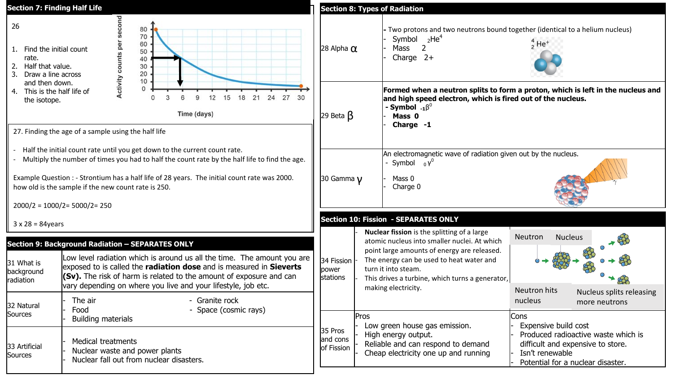